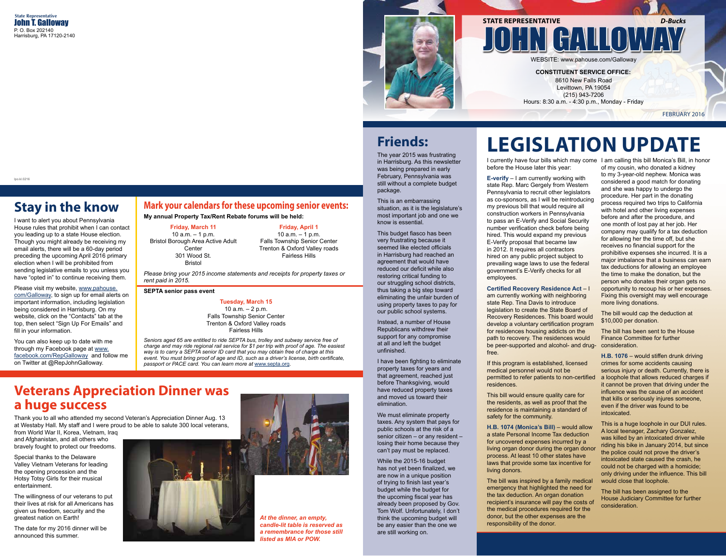lpo.kl.0216

# **Stay in the know**

I want to alert you about Pennsylvania House rules that prohibit when I can contact you leading up to a state House election. Though you might already be receiving my email alerts, there will be a 60-day period preceding the upcoming April 2016 primary election when I will be prohibited from sending legislative emails to you unless you have "opted in" to continue receiving them.

Please visit my website, www.pahouse. com/Galloway, to sign up for email alerts on important information, including legislation being considered in Harrisburg. On my website, click on the "Contacts" tab at the top, then select "Sign Up For Emails" and fill in your information.

You can also keep up to date with me through my Facebook page at www. facebook.com/RepGalloway and follow me on Twitter at @RepJohnGalloway.

## **Mark your calendars for these upcoming senior events:**

**My annual Property Tax/Rent Rebate forums will be held:**

#### **Friday, March 11**

10 a.m. – 1 p.m. Bristol Borough Area Active Adult **Center** 301 Wood St. Bristol

#### **Friday, April 1**

10 a.m. – 1 p.m. Falls Township Senior Center Trenton & Oxford Valley roads Fairless Hills

*Please bring your 2015 income statements and receipts for property taxes or rent paid in 2015.*

#### **SEPTA senior pass event**

### **Tuesday, March 15**

10 a.m. – 2 p.m. Falls Township Senior Center Trenton & Oxford Valley roads Fairless Hills

*Seniors aged 65 are entitled to ride SEPTA bus, trolley and subway service free of charge and may ride regional rail service for \$1 per trip with proof of age. The easiest way is to carry a SEPTA senior ID card that you may obtain free of charge at this event. You must bring proof of age and ID, such as a driver's license, birth certificate, passport or PACE card. You can learn more at* www.septa.org*.*

## **Veterans Appreciation Dinner was a huge success**

Thank you to all who attended my second Veteran's Appreciation Dinner Aug. 13 at Westaby Hall. My staff and I were proud to be able to salute 300 local veterans, from World War II, Korea, Vietnam, Iraq

and Afghanistan, and all others who bravely fought to protect our freedoms.

Special thanks to the Delaware Valley Vietnam Veterans for leading the opening procession and the Hotsy Totsy Girls for their musical entertainment.

The willingness of our veterans to put their lives at risk for all Americans has given us freedom, security and the greatest nation on Earth!

The date for my 2016 dinner will be announced this summer.





*At the dinner, an empty, candle-lit table is reserved as a remembrance for those still listed as MIA or POW.*